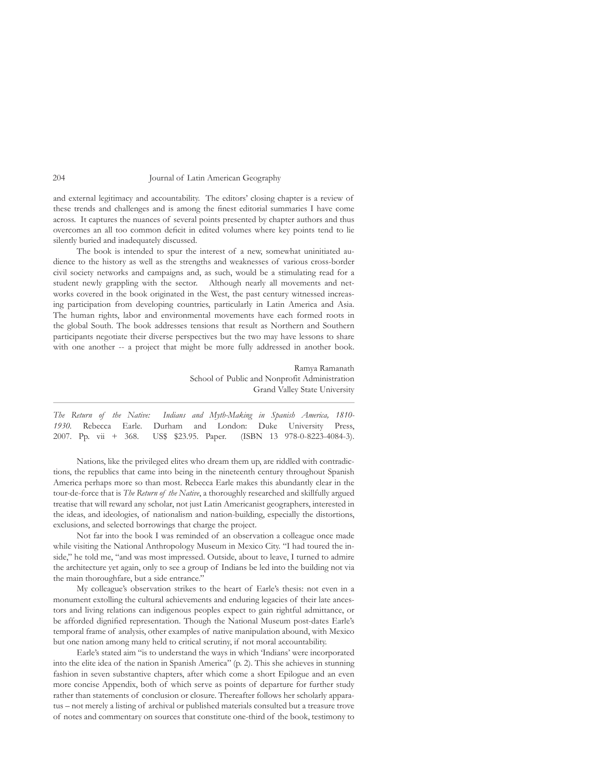## 204 Journal of Latin American Geography

and external legitimacy and accountability. The editors' closing chapter is a review of these trends and challenges and is among the fnest editorial summaries I have come across. It captures the nuances of several points presented by chapter authors and thus overcomes an all too common defcit in edited volumes where key points tend to lie silently buried and inadequately discussed.

The book is intended to spur the interest of a new, somewhat uninitiated audience to the history as well as the strengths and weaknesses of various cross-border civil society networks and campaigns and, as such, would be a stimulating read for a student newly grappling with the sector. Although nearly all movements and networks covered in the book originated in the West, the past century witnessed increasing participation from developing countries, particularly in Latin America and Asia. The human rights, labor and environmental movements have each formed roots in the global South. The book addresses tensions that result as Northern and Southern participants negotiate their diverse perspectives but the two may have lessons to share with one another -- a project that might be more fully addressed in another book.

> Ramya Ramanath School of Public and Nonprofit Administration Grand Valley State University

*The Return of the Native: Indians and Myth-Making in Spanish America, 1810- 1930*. Rebecca Earle. Durham and London: Duke University Press, 2007. Pp. vii + 368. US\$ \$23.95. Paper. (ISBN 13 978-0-8223-4084-3).

Nations, like the privileged elites who dream them up, are riddled with contradictions, the republics that came into being in the nineteenth century throughout Spanish America perhaps more so than most. Rebecca Earle makes this abundantly clear in the tour-de-force that is *The Return of the Native*, a thoroughly researched and skillfully argued treatise that will reward any scholar, not just Latin Americanist geographers, interested in the ideas, and ideologies, of nationalism and nation-building, especially the distortions, exclusions, and selected borrowings that charge the project.

Not far into the book I was reminded of an observation a colleague once made while visiting the National Anthropology Museum in Mexico City. "I had toured the inside," he told me, "and was most impressed. Outside, about to leave, I turned to admire the architecture yet again, only to see a group of Indians be led into the building not via the main thoroughfare, but a side entrance."

My colleague's observation strikes to the heart of Earle's thesis: not even in a monument extolling the cultural achievements and enduring legacies of their late ancestors and living relations can indigenous peoples expect to gain rightful admittance, or be afforded dignifed representation. Though the National Museum post-dates Earle's temporal frame of analysis, other examples of native manipulation abound, with Mexico but one nation among many held to critical scrutiny, if not moral accountability.

Earle's stated aim "is to understand the ways in which 'Indians' were incorporated into the elite idea of the nation in Spanish America" (p. 2). This she achieves in stunning fashion in seven substantive chapters, after which come a short Epilogue and an even more concise Appendix, both of which serve as points of departure for further study rather than statements of conclusion or closure. Thereafter follows her scholarly apparatus – not merely a listing of archival or published materials consulted but a treasure trove of notes and commentary on sources that constitute one-third of the book, testimony to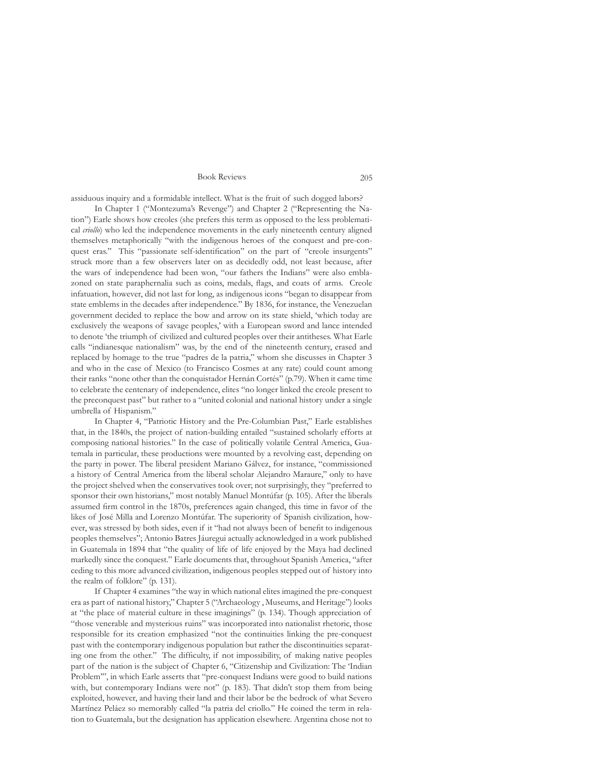## Book Reviews 205

assiduous inquiry and a formidable intellect. What is the fruit of such dogged labors?

In Chapter 1 ("Montezuma's Revenge") and Chapter 2 ("Representing the Nation") Earle shows how creoles (she prefers this term as opposed to the less problematical *criollo*) who led the independence movements in the early nineteenth century aligned themselves metaphorically "with the indigenous heroes of the conquest and pre-conquest eras." This "passionate self-identifcation" on the part of "creole insurgents" struck more than a few observers later on as decidedly odd, not least because, after the wars of independence had been won, "our fathers the Indians" were also emblazoned on state paraphernalia such as coins, medals, fags, and coats of arms. Creole infatuation, however, did not last for long, as indigenous icons "began to disappear from state emblems in the decades after independence." By 1836, for instance, the Venezuelan government decided to replace the bow and arrow on its state shield, 'which today are exclusively the weapons of savage peoples,' with a European sword and lance intended to denote 'the triumph of civilized and cultured peoples over their antitheses. What Earle calls "indianesque nationalism" was, by the end of the nineteenth century, erased and replaced by homage to the true "padres de la patria," whom she discusses in Chapter 3 and who in the case of Mexico (to Francisco Cosmes at any rate) could count among their ranks "none other than the conquistador Hernán Cortés" (p.79). When it came time to celebrate the centenary of independence, elites "no longer linked the creole present to the preconquest past" but rather to a "united colonial and national history under a single umbrella of Hispanism."

In Chapter 4, "Patriotic History and the Pre-Columbian Past," Earle establishes that, in the 1840s, the project of nation-building entailed "sustained scholarly efforts at composing national histories." In the case of politically volatile Central America, Guatemala in particular, these productions were mounted by a revolving cast, depending on the party in power. The liberal president Mariano Gálvez, for instance, "commissioned a history of Central America from the liberal scholar Alejandro Maraure," only to have the project shelved when the conservatives took over; not surprisingly, they "preferred to sponsor their own historians," most notably Manuel Montúfar (p. 105). After the liberals assumed frm control in the 1870s, preferences again changed, this time in favor of the likes of José Milla and Lorenzo Montúfar. The superiority of Spanish civilization, however, was stressed by both sides, even if it "had not always been of beneft to indigenous peoples themselves"; Antonio Batres Jáuregui actually acknowledged in a work published in Guatemala in 1894 that "the quality of life of life enjoyed by the Maya had declined markedly since the conquest." Earle documents that, throughout Spanish America, "after ceding to this more advanced civilization, indigenous peoples stepped out of history into the realm of folklore" (p. 131).

If Chapter 4 examines "the way in which national elites imagined the pre-conquest era as part of national history," Chapter 5 ("Archaeology , Museums, and Heritage") looks at "the place of material culture in these imaginings" (p. 134). Though appreciation of "those venerable and mysterious ruins" was incorporated into nationalist rhetoric, those responsible for its creation emphasized "not the continuities linking the pre-conquest past with the contemporary indigenous population but rather the discontinuities separating one from the other." The diffculty, if not impossibility, of making native peoples part of the nation is the subject of Chapter 6, "Citizenship and Civilization: The 'Indian Problem'", in which Earle asserts that "pre-conquest Indians were good to build nations with, but contemporary Indians were not" (p. 183). That didn't stop them from being exploited, however, and having their land and their labor be the bedrock of what Severo Martínez Peláez so memorably called "la patria del criollo." He coined the term in relation to Guatemala, but the designation has application elsewhere. Argentina chose not to